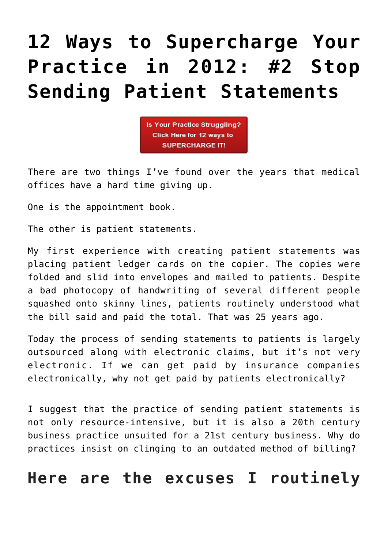# **[12 Ways to Supercharge Your](https://managemypractice.com/12-ways-to-supercharge-your-practice-in-2012-2-stop-sending-patient-statements/) [Practice in 2012: #2 Stop](https://managemypractice.com/12-ways-to-supercharge-your-practice-in-2012-2-stop-sending-patient-statements/) [Sending Patient Statements](https://managemypractice.com/12-ways-to-supercharge-your-practice-in-2012-2-stop-sending-patient-statements/)**

Is Your Practice Struggling? Click Here for 12 ways to **SUPERCHARGE IT!** 

There are two things I've found over the years that medical offices have a hard time giving up.

One is the appointment book.

The other is patient statements.

My first experience with creating patient statements was placing patient ledger cards on the copier. The copies were folded and slid into envelopes and mailed to patients. Despite a bad photocopy of handwriting of several different people squashed onto skinny lines, patients routinely understood what the bill said and paid the total. That was 25 years ago.

Today the process of sending statements to patients is largely outsourced along with electronic claims, but it's not very electronic. If we can get paid by insurance companies electronically, why not get paid by patients electronically?

I suggest that the practice of sending patient statements is not only resource-intensive, but it is also a 20th century business practice unsuited for a 21st century business. Why do practices insist on clinging to an outdated method of billing?

#### **Here are the excuses I routinely**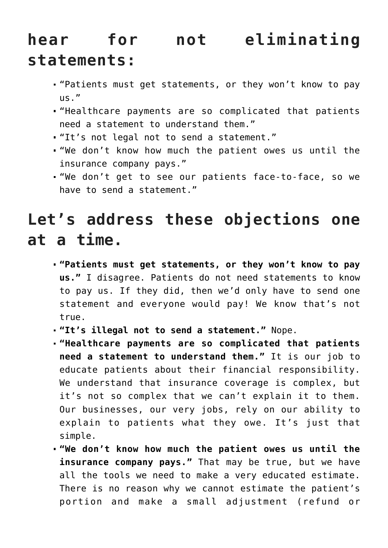## **hear for not eliminating statements:**

- "Patients must get statements, or they won't know to pay us."
- "Healthcare payments are so complicated that patients need a statement to understand them."
- "It's not legal not to send a statement."
- "We don't know how much the patient owes us until the insurance company pays."
- "We don't get to see our patients face-to-face, so we have to send a statement."

## **Let's address these objections one at a time.**

- **"Patients must get statements, or they won't know to pay us."** I disagree. Patients do not need statements to know to pay us. If they did, then we'd only have to send one statement and everyone would pay! We know that's not true.
- **"It's illegal not to send a statement."** Nope.
- **"Healthcare payments are so complicated that patients need a statement to understand them."** It is our job to educate patients about their financial responsibility. We understand that insurance coverage is complex, but it's not so complex that we can't explain it to them. Our businesses, our very jobs, rely on our ability to explain to patients what they owe. It's just that simple.
- **"We don't know how much the patient owes us until the insurance company pays."** That may be true, but we have all the tools we need to make a very educated estimate. There is no reason why we cannot estimate the patient's portion and make a small adjustment (refund or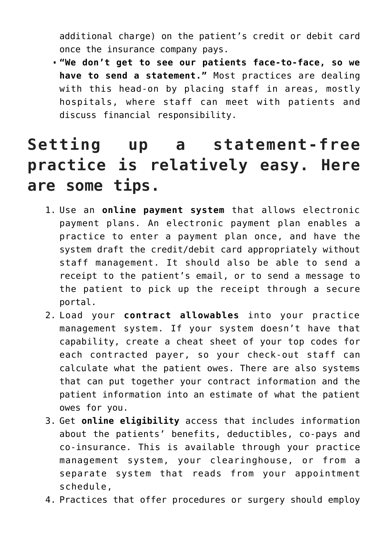additional charge) on the patient's credit or debit card once the insurance company pays.

**"We don't get to see our patients face-to-face, so we have to send a statement."** Most practices are dealing with this head-on by placing staff in areas, mostly hospitals, where staff can meet with patients and discuss financial responsibility.

### **Setting up a statement-free practice is relatively easy. Here are some tips.**

- 1. Use an **online payment system** that allows electronic payment plans. An electronic payment plan enables a practice to enter a payment plan once, and have the system draft the credit/debit card appropriately without staff management. It should also be able to send a receipt to the patient's email, or to send a message to the patient to pick up the receipt through a secure portal.
- 2. Load your **contract allowables** into your practice management system. If your system doesn't have that capability, create a cheat sheet of your top codes for each contracted payer, so your check-out staff can calculate what the patient owes. There are also systems that can put together your contract information and the patient information into an estimate of what the patient owes for you.
- 3. Get **online eligibility** access that includes information about the patients' benefits, deductibles, co-pays and co-insurance. This is available through your practice management system, your clearinghouse, or from a separate system that reads from your appointment schedule,
- 4. Practices that offer procedures or surgery should employ